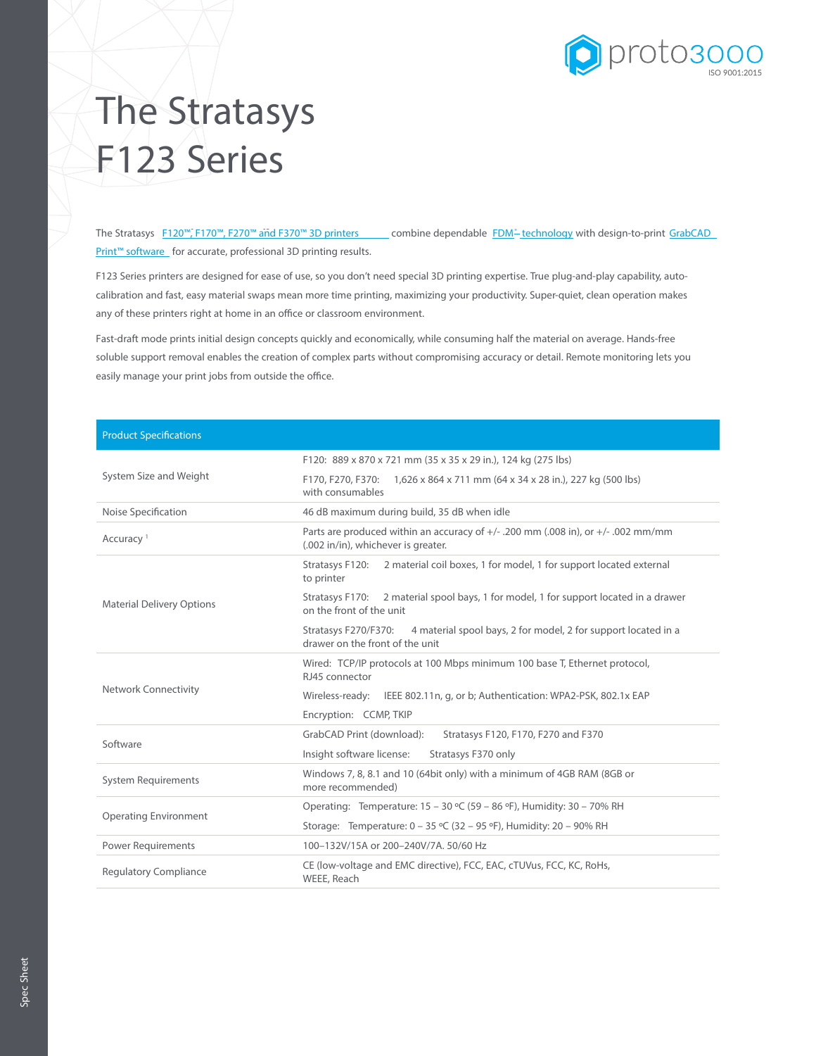

## The Stratasys F123 Series

The Stratasys F120™, F170™, F270™ and F370™ 3D printers combine dependable FDM<sup>®</sup> technology with design-to-print GrabCAD Print™ software for accurate, professional 3D printing results.

F123 Series printers are designed for ease of use, so you don't need special 3D printing expertise. True plug-and-play capability, autocalibration and fast, easy material swaps mean more time printing, maximizing your productivity. Super-quiet, clean operation makes any of these printers right at home in an office or classroom environment.

Fast-draft mode prints initial design concepts quickly and economically, while consuming half the material on average. Hands-free soluble support removal enables the creation of complex parts without compromising accuracy or detail. Remote monitoring lets you easily manage your print jobs from outside the office.

| <b>Product Specifications</b>    |                                                                                                                              |  |  |  |
|----------------------------------|------------------------------------------------------------------------------------------------------------------------------|--|--|--|
| System Size and Weight           | F120: 889 x 870 x 721 mm (35 x 35 x 29 in.), 124 kg (275 lbs)                                                                |  |  |  |
|                                  | F170, F270, F370:<br>1,626 x 864 x 711 mm (64 x 34 x 28 in.), 227 kg (500 lbs)<br>with consumables                           |  |  |  |
| Noise Specification              | 46 dB maximum during build, 35 dB when idle                                                                                  |  |  |  |
| Accuracy <sup>1</sup>            | Parts are produced within an accuracy of $+/-$ .200 mm (.008 in), or $+/-$ .002 mm/mm<br>(.002 in/in), whichever is greater. |  |  |  |
| <b>Material Delivery Options</b> | Stratasys F120:<br>2 material coil boxes, 1 for model, 1 for support located external<br>to printer                          |  |  |  |
|                                  | Stratasys F170:<br>2 material spool bays, 1 for model, 1 for support located in a drawer<br>on the front of the unit         |  |  |  |
|                                  | 4 material spool bays, 2 for model, 2 for support located in a<br>Stratasys F270/F370:<br>drawer on the front of the unit    |  |  |  |
| <b>Network Connectivity</b>      | Wired: TCP/IP protocols at 100 Mbps minimum 100 base T, Ethernet protocol,<br>RJ45 connector                                 |  |  |  |
|                                  | Wireless-ready: IEEE 802.11n, g, or b; Authentication: WPA2-PSK, 802.1x EAP                                                  |  |  |  |
|                                  | Encryption: CCMP, TKIP                                                                                                       |  |  |  |
| Software                         | GrabCAD Print (download):<br>Stratasys F120, F170, F270 and F370                                                             |  |  |  |
|                                  | Insight software license:<br>Stratasys F370 only                                                                             |  |  |  |
| <b>System Requirements</b>       | Windows 7, 8, 8.1 and 10 (64bit only) with a minimum of 4GB RAM (8GB or<br>more recommended)                                 |  |  |  |
| <b>Operating Environment</b>     | Operating: Temperature: $15 - 30$ °C (59 – 86 °F), Humidity: $30 - 70\%$ RH                                                  |  |  |  |
|                                  | Storage: Temperature: $0 - 35$ °C (32 – 95 °F), Humidity: 20 – 90% RH                                                        |  |  |  |
| <b>Power Requirements</b>        | 100-132V/15A or 200-240V/7A, 50/60 Hz                                                                                        |  |  |  |
| <b>Regulatory Compliance</b>     | CE (low-voltage and EMC directive), FCC, EAC, cTUVus, FCC, KC, RoHs,<br>WEEE, Reach                                          |  |  |  |